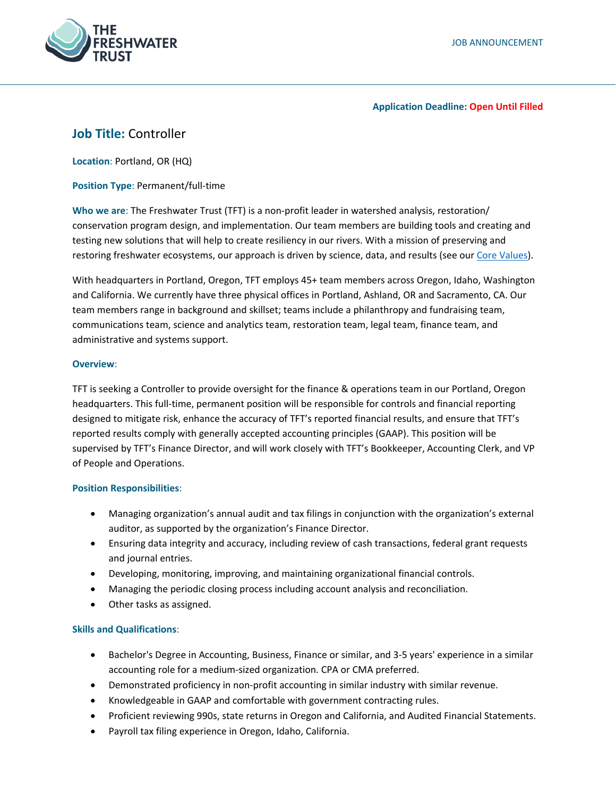

## **Application Deadline: Open Until Filled**

# **Job Title:** Controller

**Location**: Portland, OR (HQ)

**Position Type**: Permanent/full-time

**Who we are**: The Freshwater Trust (TFT) is a non-profit leader in watershed analysis, restoration/ conservation program design, and implementation. Our team members are building tools and creating and testing new solutions that will help to create resiliency in our rivers. With a mission of preserving and restoring freshwater ecosystems, our approach is driven by science, data, and results (see our [Core Values\)](https://www.thefreshwatertrust.org/about-us/core-values/).

With headquarters in Portland, Oregon, TFT employs 45+ team members across Oregon, Idaho, Washington and California. We currently have three physical offices in Portland, Ashland, OR and Sacramento, CA. Our team members range in background and skillset; teams include a philanthropy and fundraising team, communications team, science and analytics team, restoration team, legal team, finance team, and administrative and systems support.

## **Overview**:

TFT is seeking a Controller to provide oversight for the finance & operations team in our Portland, Oregon headquarters. This full-time, permanent position will be responsible for controls and financial reporting designed to mitigate risk, enhance the accuracy of TFT's reported financial results, and ensure that TFT's reported results comply with generally accepted accounting principles (GAAP). This position will be supervised by TFT's Finance Director, and will work closely with TFT's Bookkeeper, Accounting Clerk, and VP of People and Operations.

## **Position Responsibilities**:

- Managing organization's annual audit and tax filings in conjunction with the organization's external auditor, as supported by the organization's Finance Director.
- Ensuring data integrity and accuracy, including review of cash transactions, federal grant requests and journal entries.
- Developing, monitoring, improving, and maintaining organizational financial controls.
- Managing the periodic closing process including account analysis and reconciliation.
- Other tasks as assigned.

## **Skills and Qualifications**:

- Bachelor's Degree in Accounting, Business, Finance or similar, and 3-5 years' experience in a similar accounting role for a medium-sized organization. CPA or CMA preferred.
- Demonstrated proficiency in non-profit accounting in similar industry with similar revenue.
- Knowledgeable in GAAP and comfortable with government contracting rules.
- Proficient reviewing 990s, state returns in Oregon and California, and Audited Financial Statements.
- Payroll tax filing experience in Oregon, Idaho, California.